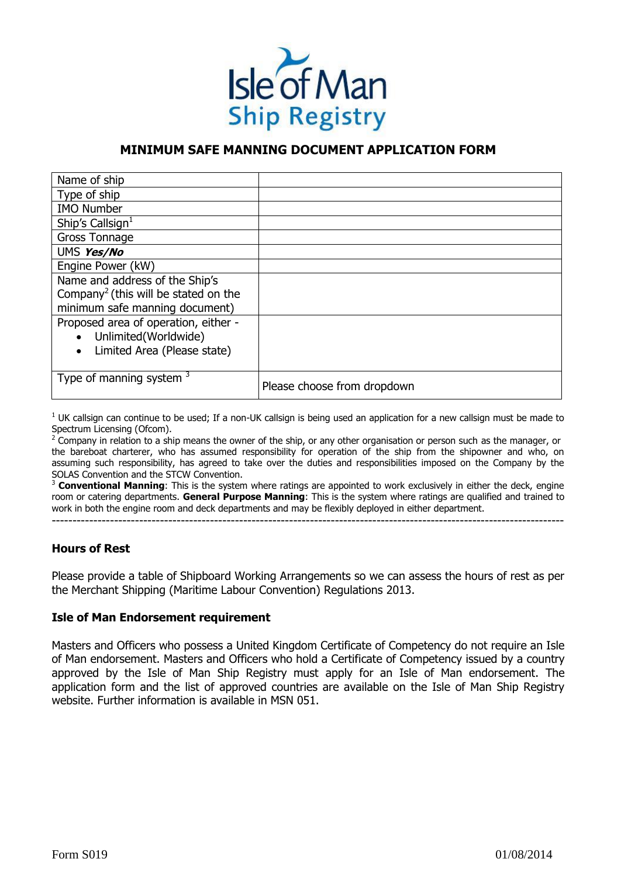

## **MINIMUM SAFE MANNING DOCUMENT APPLICATION FORM**

| Name of ship                                     |                             |
|--------------------------------------------------|-----------------------------|
| Type of ship                                     |                             |
| <b>IMO Number</b>                                |                             |
| Ship's Callsign $1$                              |                             |
| Gross Tonnage                                    |                             |
| UMS Yes/No                                       |                             |
| Engine Power (kW)                                |                             |
| Name and address of the Ship's                   |                             |
| Company <sup>2</sup> (this will be stated on the |                             |
| minimum safe manning document)                   |                             |
| Proposed area of operation, either -             |                             |
| • Unlimited (Worldwide)                          |                             |
| Limited Area (Please state)<br>$\bullet$         |                             |
|                                                  |                             |
| Type of manning system $3$                       | Please choose from dropdown |

 $<sup>1</sup>$  UK callsign can continue to be used; If a non-UK callsign is being used an application for a new callsign must be made to</sup> Spectrum Licensing (Ofcom).

<sup>2</sup> Company in relation to a ship means the owner of the ship, or any other organisation or person such as the manager, or the bareboat charterer, who has assumed responsibility for operation of the ship from the shipowner and who, on assuming such responsibility, has agreed to take over the duties and responsibilities imposed on the Company by the SOLAS Convention and the STCW Convention.

3  **Conventional Manning**: This is the system where ratings are appointed to work exclusively in either the deck, engine room or catering departments. **General Purpose Manning**: This is the system where ratings are qualified and trained to work in both the engine room and deck departments and may be flexibly deployed in either department.

---------------------------------------------------------------------------------------------------------------------------

## **Hours of Rest**

Please provide a table of Shipboard Working Arrangements so we can assess the hours of rest as per the Merchant Shipping (Maritime Labour Convention) Regulations 2013.

## **Isle of Man Endorsement requirement**

Masters and Officers who possess a United Kingdom Certificate of Competency do not require an Isle of Man endorsement. Masters and Officers who hold a Certificate of Competency issued by a country approved by the Isle of Man Ship Registry must apply for an Isle of Man endorsement. The application form and the list of approved countries are available on the Isle of Man Ship Registry website. Further information is available in MSN 051.